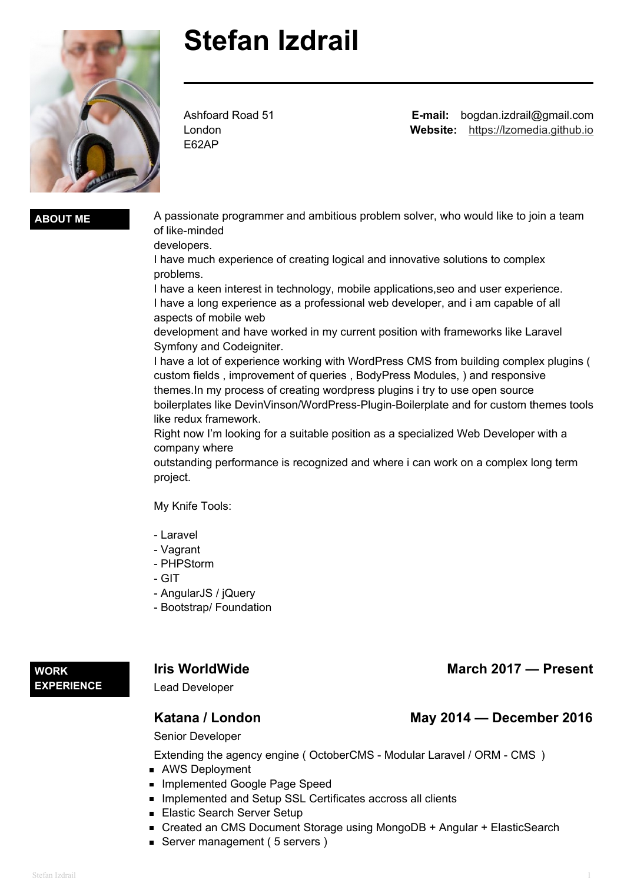

# **Stefan Izdrail**

Ashfoard Road 51 London E62AP

**E-mail:** bogdan.izdrail@gmail.com **Website:** <https://lzomedia.github.io>

**ABOUT ME** A passionate programmer and ambitious problem solver, who would like to join a team of like-minded

developers.

I have much experience of creating logical and innovative solutions to complex problems.

I have a keen interest in technology, mobile applications,seo and user experience. I have a long experience as a professional web developer, and i am capable of all aspects of mobile web

development and have worked in my current position with frameworks like Laravel Symfony and Codeigniter.

I have a lot of experience working with WordPress CMS from building complex plugins ( custom fields , improvement of queries , BodyPress Modules, ) and responsive themes.In my process of creating wordpress plugins i try to use open source boilerplates like DevinVinson/WordPress-Plugin-Boilerplate and for custom themes tools like redux framework.

Right now I'm looking for a suitable position as a specialized Web Developer with a company where

outstanding performance is recognized and where i can work on a complex long term project.

My Knife Tools:

- Laravel
- Vagrant
- PHPStorm
- GIT
- AngularJS / jQuery
- Bootstrap/ Foundation

### **WORK EXPERIENCE**

Lead Developer

# **Katana / London May 2014 — December 2016**

Senior Developer

Extending the agency engine ( OctoberCMS - Modular Laravel / ORM - CMS )

- AWS Deployment
- **Implemented Google Page Speed**
- **Implemented and Setup SSL Certificates accross all clients**
- **Elastic Search Server Setup**
- Created an CMS Document Storage using MongoDB + Angular + ElasticSearch
- Server management (5 servers)

**Iris** WorldWide **March March** 2017 — Present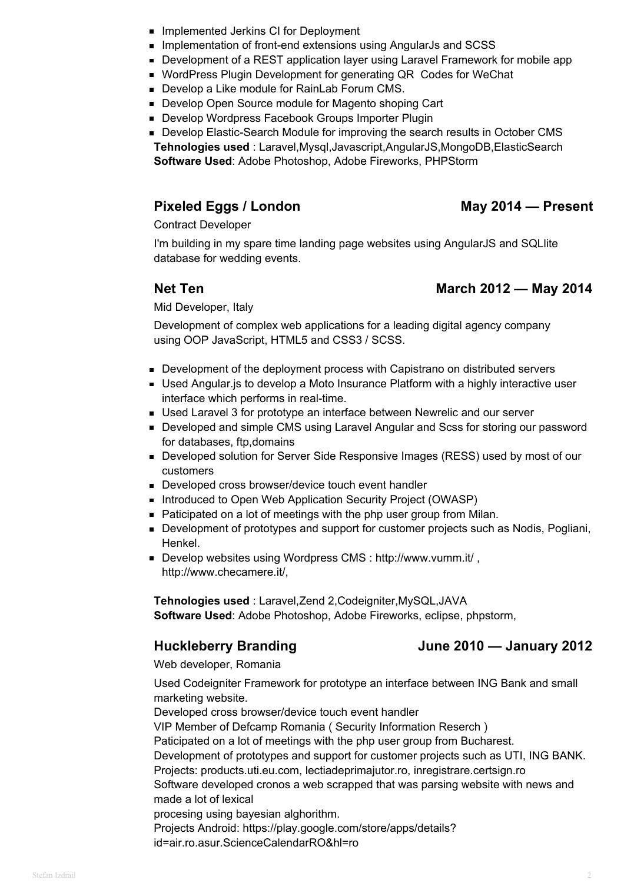- **Implemented Jerkins CI for Deployment**
- **Implementation of front-end extensions using AngularJs and SCSS**
- **Development of a REST application layer using Laravel Framework for mobile app**
- **WordPress Plugin Development for generating QR Codes for WeChat**
- Develop a Like module for RainLab Forum CMS.
- Develop Open Source module for Magento shoping Cart
- **Develop Wordpress Facebook Groups Importer Plugin**
- **Develop Elastic-Search Module for improving the search results in October CMS Tehnologies used** : Laravel,Mysql,Javascript,AngularJS,MongoDB,ElasticSearch **Software Used**: Adobe Photoshop, Adobe Fireworks, PHPStorm

# **Pixeled Eggs / London May 2014 — Present**

Contract Developer

I'm building in my spare time landing page websites using AngularJS and SQLlite database for wedding events.

# **Net Ten March 2012 — May 2014**

Mid Developer, Italy

Development of complex web applications for a leading digital agency company using OOP JavaScript, HTML5 and CSS3 / SCSS.

- **Development of the deployment process with Capistrano on distributed servers**
- **Used Angular.js to develop a Moto Insurance Platform with a highly interactive user** interface which performs in real-time.
- Used Laravel 3 for prototype an interface between Newrelic and our server
- **Developed and simple CMS using Laravel Angular and Scss for storing our password** for databases, ftp,domains
- **Developed solution for Server Side Responsive Images (RESS) used by most of our** customers
- Developed cross browser/device touch event handler
- **Introduced to Open Web Application Security Project (OWASP)**
- Paticipated on a lot of meetings with the php user group from Milan.
- **Development of prototypes and support for customer projects such as Nodis, Pogliani,** Henkel.
- Develop websites using Wordpress CMS : http://www.vumm.it/ , http://www.checamere.it/,

**Tehnologies used** : Laravel,Zend 2,Codeigniter,MySQL,JAVA **Software Used**: Adobe Photoshop, Adobe Fireworks, eclipse, phpstorm,

# **Huckleberry Branding June 2010 — January 2012**

Web developer, Romania

Used Codeigniter Framework for prototype an interface between ING Bank and small marketing website.

Developed cross browser/device touch event handler

VIP Member of Defcamp Romania ( Security Information Reserch )

Paticipated on a lot of meetings with the php user group from Bucharest.

Development of prototypes and support for customer projects such as UTI, ING BANK. Projects: products.uti.eu.com, lectiadeprimajutor.ro, inregistrare.certsign.ro

Software developed cronos a web scrapped that was parsing website with news and made a lot of lexical

procesing using bayesian alghorithm.

Projects Android: https://play.google.com/store/apps/details?

id=air.ro.asur.ScienceCalendarRO&hl=ro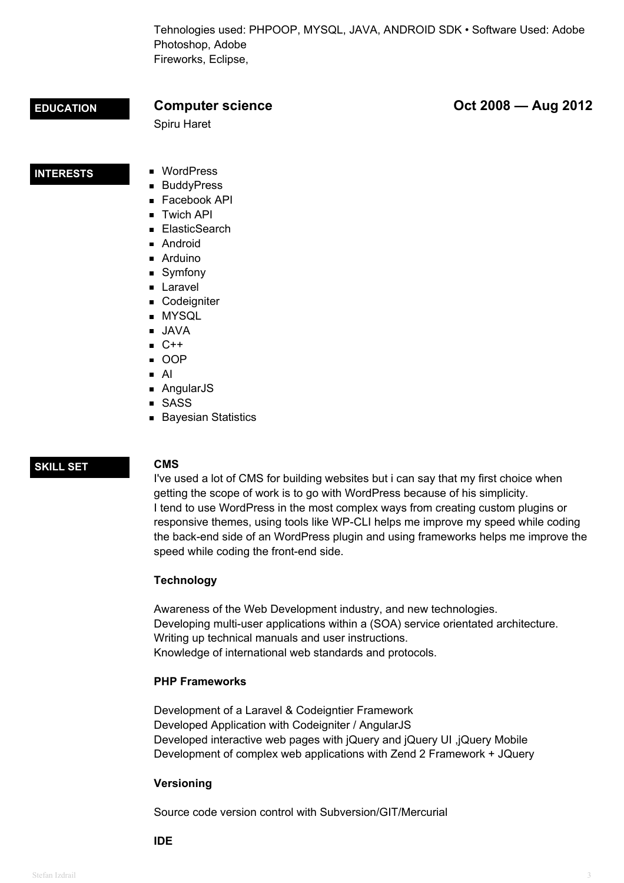Tehnologies used: PHPOOP, MYSQL, JAVA, ANDROID SDK • Software Used: Adobe Photoshop, Adobe Fireworks, Eclipse,

**EDUCATION Computer science Oct 2008 — Aug 2012**

**INTERESTS** WordPress

Spiru Haret

- **BuddyPress**
- Facebook API
- **Twich API**
- ElasticSearch
- **Android**
- Arduino
- Symfony
- **Laravel**
- **Codeigniter**
- **MYSQL**
- JAVA
- $C++$
- OOP
- AI
- AngularJS
- SASS
- **Bayesian Statistics**

## **SKILL SET CMS**

I've used a lot of CMS for building websites but i can say that my first choice when getting the scope of work is to go with WordPress because of his simplicity. I tend to use WordPress in the most complex ways from creating custom plugins or responsive themes, using tools like WP-CLI helps me improve my speed while coding the back-end side of an WordPress plugin and using frameworks helps me improve the speed while coding the front-end side.

### **Technology**

Awareness of the Web Development industry, and new technologies. Developing multi-user applications within a (SOA) service orientated architecture. Writing up technical manuals and user instructions. Knowledge of international web standards and protocols.

### **PHP Frameworks**

Development of a Laravel & Codeigntier Framework Developed Application with Codeigniter / AngularJS Developed interactive web pages with jQuery and jQuery UI ,jQuery Mobile Development of complex web applications with Zend 2 Framework + JQuery

### **Versioning**

Source code version control with Subversion/GIT/Mercurial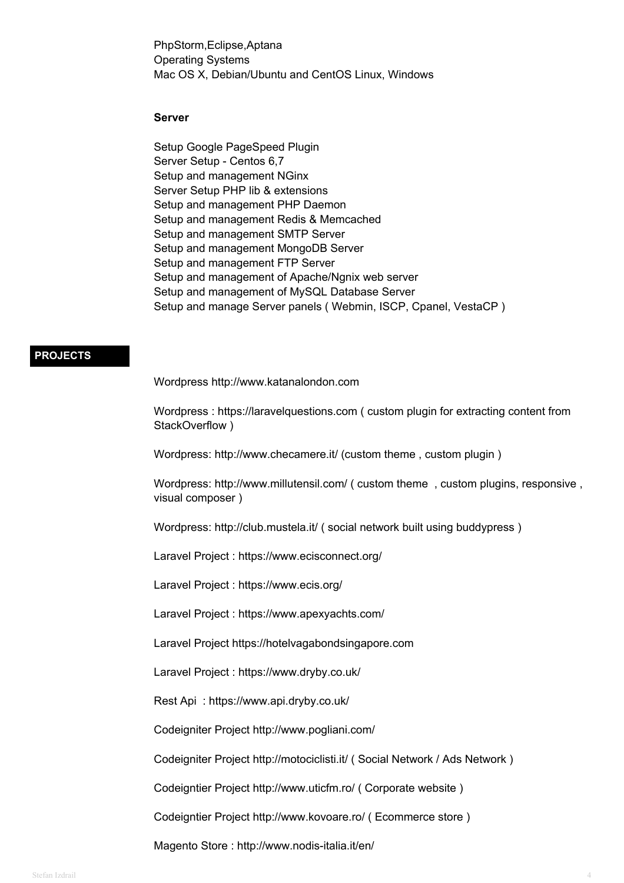PhpStorm,Eclipse,Aptana Operating Systems Mac OS X, Debian/Ubuntu and CentOS Linux, Windows

### **Server**

Setup Google PageSpeed Plugin Server Setup - Centos 6,7 Setup and management NGinx Server Setup PHP lib & extensions Setup and management PHP Daemon Setup and management Redis & Memcached Setup and management SMTP Server Setup and management MongoDB Server Setup and management FTP Server Setup and management of Apache/Ngnix web server Setup and management of MySQL Database Server Setup and manage Server panels ( Webmin, ISCP, Cpanel, VestaCP )

### **PROJECTS**

Wordpress http://www.katanalondon.com

Wordpress : https://laravelquestions.com ( custom plugin for extracting content from StackOverflow )

Wordpress: http://www.checamere.it/ (custom theme , custom plugin )

Wordpress: http://www.millutensil.com/ ( custom theme , custom plugins, responsive , visual composer )

Wordpress: http://club.mustela.it/ ( social network built using buddypress )

Laravel Project : https://www.ecisconnect.org/

Laravel Project : https://www.ecis.org/

Laravel Project : https://www.apexyachts.com/

Laravel Project https://hotelvagabondsingapore.com

Laravel Project : https://www.dryby.co.uk/

Rest Api : https://www.api.dryby.co.uk/

Codeigniter Project http://www.pogliani.com/

Codeigniter Project http://motociclisti.it/ ( Social Network / Ads Network )

Codeigntier Project http://www.uticfm.ro/ ( Corporate website )

Codeigntier Project http://www.kovoare.ro/ ( Ecommerce store )

Magento Store : http://www.nodis-italia.it/en/